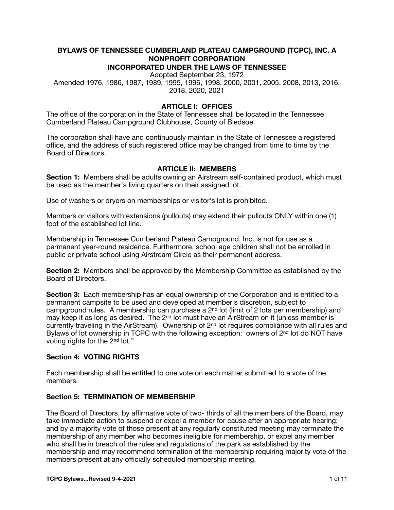#### **BYLAWS OF TENNESSEE CUMBERLAND PLATEAU CAMPGROUND (TCPC), INC. A NONPROFIT CORPORATION INCORPORATED UNDER THE LAWS OF TENNESSEE**

Adopted September 23, 1972

Amended 1976, 1986, 1987, 1989, 1995, 1996, 1998, 2000, 2001, 2005, 2008, 2013, 2016, 2018, 2020, 2021

## **ARTICLE I: OFFICES**

The office of the corporation in the State of Tennessee shall be located in the Tennessee Cumberland Plateau Campground Clubhouse, County of Bledsoe.

The corporation shall have and continuously maintain in the State of Tennessee a registered office, and the address of such registered office may be changed from time to time by the Board of Directors.

### **ARTICLE II: MEMBERS**

**Section 1:** Members shall be adults owning an Airstream self-contained product, which must be used as the member's living quarters on their assigned lot.

Use of washers or dryers on memberships or visitor's lot is prohibited.

Members or visitors with extensions (pullouts) may extend their pullouts ONLY within one (1) foot of the established lot line.

Membership in Tennessee Cumberland Plateau Campground, Inc. is not for use as a permanent year-round residence. Furthermore, school age children shall not be enrolled in public or private school using Airstream Circle as their permanent address.

**Section 2:** Members shall be approved by the Membership Committee as established by the Board of Directors.

**Section 3:** Each membership has an equal ownership of the Corporation and is entitled to a permanent campsite to be used and developed at member's discretion, subject to campground rules. A membership can purchase a  $2<sup>nd</sup>$  lot (limit of 2 lots per membership) and may keep it as long as desired. The 2nd lot must have an AirStream on it (unless member is currently traveling in the AirStream). Ownership of  $2<sup>nd</sup>$  lot requires compliance with all rules and Bylaws of lot ownership in TCPC with the following exception: owners of  $2<sup>nd</sup>$  lot do NOT have voting rights for the 2nd lot."

### **Section 4: VOTING RIGHTS**

Each membership shall be entitled to one vote on each matter submitted to a vote of the members.

## **Section 5: TERMINATION OF MEMBERSHIP**

The Board of Directors, by affirmative vote of two- thirds of all the members of the Board, may take immediate action to suspend or expel a member for cause after an appropriate hearing; and by a majority vote of those present at any regularly constituted meeting may terminate the membership of any member who becomes ineligible for membership, or expel any member who shall be in breach of the rules and regulations of the park as established by the membership and may recommend termination of the membership requiring majority vote of the members present at any officially scheduled membership meeting.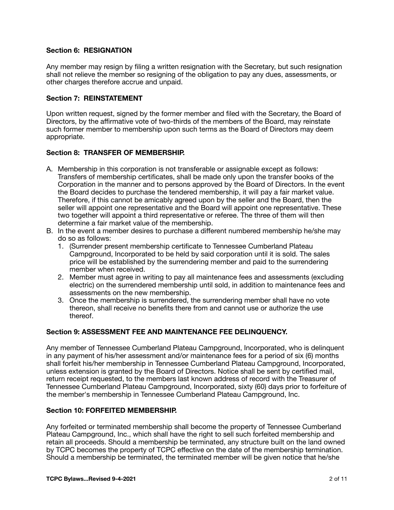## **Section 6: RESIGNATION**

Any member may resign by filing a written resignation with the Secretary, but such resignation shall not relieve the member so resigning of the obligation to pay any dues, assessments, or other charges therefore accrue and unpaid.

### **Section 7: REINSTATEMENT**

Upon written request, signed by the former member and filed with the Secretary, the Board of Directors, by the affirmative vote of two-thirds of the members of the Board, may reinstate such former member to membership upon such terms as the Board of Directors may deem appropriate.

### **Section 8: TRANSFER OF MEMBERSHIP.**

- A. Membership in this corporation is not transferable or assignable except as follows: Transfers of membership certificates, shall be made only upon the transfer books of the Corporation in the manner and to persons approved by the Board of Directors. In the event the Board decides to purchase the tendered membership, it will pay a fair market value. Therefore, if this cannot be amicably agreed upon by the seller and the Board, then the seller will appoint one representative and the Board will appoint one representative. These two together will appoint a third representative or referee. The three of them will then determine a fair market value of the membership.
- B. In the event a member desires to purchase a different numbered membership he/she may do so as follows:
	- 1. (Surrender present membership certificate to Tennessee Cumberland Plateau Campground, Incorporated to be held by said corporation until it is sold. The sales price will be established by the surrendering member and paid to the surrendering member when received.
	- 2. Member must agree in writing to pay all maintenance fees and assessments (excluding electric) on the surrendered membership until sold, in addition to maintenance fees and assessments on the new membership.
	- 3. Once the membership is surrendered, the surrendering member shall have no vote thereon, shall receive no benefits there from and cannot use or authorize the use thereof.

# **Section 9: ASSESSMENT FEE AND MAINTENANCE FEE DELINQUENCY.**

Any member of Tennessee Cumberland Plateau Campground, Incorporated, who is delinquent in any payment of his/her assessment and/or maintenance fees for a period of six (6) months shall forfeit his/her membership in Tennessee Cumberland Plateau Campground, Incorporated, unless extension is granted by the Board of Directors. Notice shall be sent by certified mail, return receipt requested, to the members last known address of record with the Treasurer of Tennessee Cumberland Plateau Campground, Incorporated, sixty (60) days prior to forfeiture of the member's membership in Tennessee Cumberland Plateau Campground, Inc.

### **Section 10: FORFEITED MEMBERSHIP.**

Any forfeited or terminated membership shall become the property of Tennessee Cumberland Plateau Campground, Inc., which shall have the right to sell such forfeited membership and retain all proceeds. Should a membership be terminated, any structure built on the land owned by TCPC becomes the property of TCPC effective on the date of the membership termination. Should a membership be terminated, the terminated member will be given notice that he/she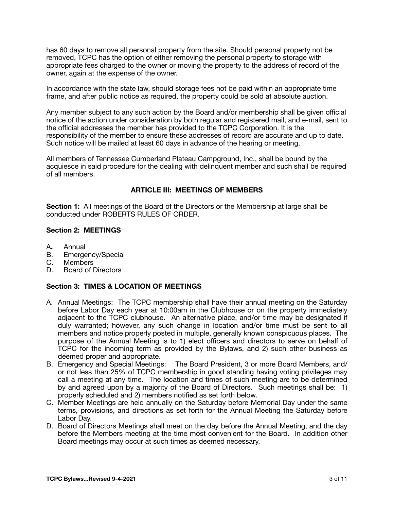has 60 days to remove all personal property from the site. Should personal property not be removed, TCPC has the option of either removing the personal property to storage with appropriate fees charged to the owner or moving the property to the address of record of the owner, again at the expense of the owner.

In accordance with the state law, should storage fees not be paid within an appropriate time frame, and after public notice as required, the property could be sold at absolute auction.

Any member subject to any such action by the Board and/or membership shall be given official notice of the action under consideration by both regular and registered mail, and e-mail, sent to the official addresses the member has provided to the TCPC Corporation. It is the responsibility of the member to ensure these addresses of record are accurate and up to date. Such notice will be mailed at least 60 days in advance of the hearing or meeting.

All members of Tennessee Cumberland Plateau Campground, Inc., shall be bound by the acquiesce in said procedure for the dealing with delinquent member and such shall be required of all members.

# **ARTICLE III: MEETINGS OF MEMBERS**

**Section 1:** All meetings of the Board of the Directors or the Membership at large shall be conducted under ROBERTS RULES OF ORDER.

## **Section 2: MEETINGS**

- A**.** Annual
- B. Emergency/Special<br>C. Members
- C. Members<br>D. Board of I
- Board of Directors

## **Section 3: TIMES & LOCATION OF MEETINGS**

- A. Annual Meetings: The TCPC membership shall have their annual meeting on the Saturday before Labor Day each year at 10:00am in the Clubhouse or on the property immediately adjacent to the TCPC clubhouse. An alternative place, and/or time may be designated if duly warranted; however, any such change in location and/or time must be sent to all members and notice properly posted in multiple, generally known conspicuous places. The purpose of the Annual Meeting is to 1) elect officers and directors to serve on behalf of TCPC for the incoming term as provided by the Bylaws, and 2) such other business as deemed proper and appropriate.
- B. Emergency and Special Meetings: The Board President, 3 or more Board Members, and/ or not less than 25% of TCPC membership in good standing having voting privileges may call a meeting at any time. The location and times of such meeting are to be determined by and agreed upon by a majority of the Board of Directors. Such meetings shall be: 1) properly scheduled and 2) members notified as set forth below.
- C. Member Meetings are held annually on the Saturday before Memorial Day under the same terms, provisions, and directions as set forth for the Annual Meeting the Saturday before Labor Day.
- D. Board of Directors Meetings shall meet on the day before the Annual Meeting, and the day before the Members meeting at the time most convenient for the Board. In addition other Board meetings may occur at such times as deemed necessary.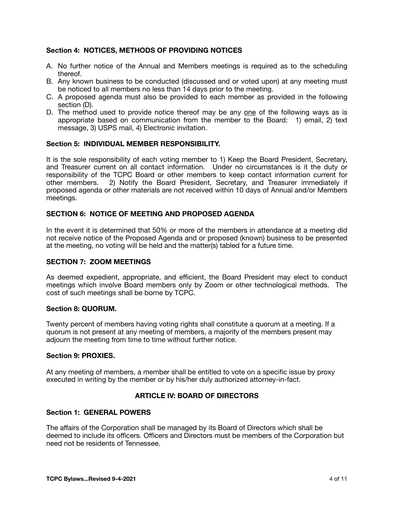## **Section 4: NOTICES, METHODS OF PROVIDING NOTICES**

- A. No further notice of the Annual and Members meetings is required as to the scheduling thereof.
- B. Any known business to be conducted (discussed and or voted upon) at any meeting must be noticed to all members no less than 14 days prior to the meeting.
- C. A proposed agenda must also be provided to each member as provided in the following section (D).
- D. The method used to provide notice thereof may be any one of the following ways as is appropriate based on communication from the member to the Board: 1) email, 2) text message, 3) USPS mail, 4) Electronic invitation.

## **Section 5: INDIVIDUAL MEMBER RESPONSIBILITY.**

It is the sole responsibility of each voting member to 1) Keep the Board President, Secretary, and Treasurer current on all contact information. Under no circumstances is it the duty or responsibility of the TCPC Board or other members to keep contact information current for other members. 2) Notify the Board President, Secretary, and Treasurer immediately if proposed agenda or other materials are not received within 10 days of Annual and/or Members meetings.

# **SECTION 6: NOTICE OF MEETING AND PROPOSED AGENDA**

In the event it is determined that 50% or more of the members in attendance at a meeting did not receive notice of the Proposed Agenda and or proposed (known) business to be presented at the meeting, no voting will be held and the matter(s) tabled for a future time.

### **SECTION 7: ZOOM MEETINGS**

As deemed expedient, appropriate, and efficient, the Board President may elect to conduct meetings which involve Board members only by Zoom or other technological methods. The cost of such meetings shall be borne by TCPC.

### **Section 8: QUORUM.**

Twenty percent of members having voting rights shall constitute a quorum at a meeting. If a quorum is not present at any meeting of members, a majority of the members present may adjourn the meeting from time to time without further notice.

### **Section 9: PROXIES.**

At any meeting of members, a member shall be entitled to vote on a specific issue by proxy executed in writing by the member or by his/her duly authorized attorney-in-fact.

### **ARTICLE IV: BOARD OF DIRECTORS**

### **Section 1: GENERAL POWERS**

The affairs of the Corporation shall be managed by its Board of Directors which shall be deemed to include its officers. Officers and Directors must be members of the Corporation but need not be residents of Tennessee.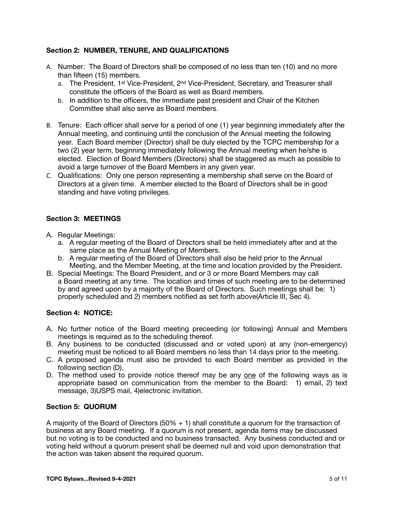# **Section 2: NUMBER, TENURE, AND QUALIFICATIONS**

- A. Number: The Board of Directors shall be composed of no less than ten (10) and no more than fifteen (15) members.
	- a. The President, 1<sup>st</sup> Vice-President, 2<sup>nd</sup> Vice-President, Secretary, and Treasurer shall constitute the officers of the Board as well as Board members.
	- b. In addition to the officers, the immediate past president and Chair of the Kitchen Committee shall also serve as Board members.
- B. Tenure: Each officer shall serve for a period of one (1) year beginning immediately after the Annual meeting, and continuing until the conclusion of the Annual meeting the following year. Each Board member (Director) shall be duly elected by the TCPC membership for a two (2) year term, beginning immediately following the Annual meeting when he/she is elected. Election of Board Members (Directors) shall be staggered as much as possible to avoid a large turnover of the Board Members in any given year.
- C. Qualifications: Only one person representing a membership shall serve on the Board of Directors at a given time. A member elected to the Board of Directors shall be in good standing and have voting privileges.

# **Section 3: MEETINGS**

- A. Regular Meetings:
	- a. A regular meeting of the Board of Directors shall be held immediately after and at the same place as the Annual Meeting of Members.
	- b. A regular meeting of the Board of Directors shall also be held prior to the Annual Meeting, and the Member Meeting, at the time and location provided by the President.
- B. Special Meetings: The Board President, and or 3 or more Board Members may call a Board meeting at any time. The location and times of such meeting are to be determined by and agreed upon by a majority of the Board of Directors. Such meetings shall be: 1) properly scheduled and 2) members notified as set forth above(Article III, Sec 4).

### **Section 4: NOTICE:**

- A. No further notice of the Board meeting preceeding (or following) Annual and Members meetings is required as to the scheduling thereof.
- B. Any business to be conducted (discussed and or voted upon) at any (non-emergency) meeting must be noticed to all Board members no less than 14 days prior to the meeting.
- C. A proposed agenda must also be provided to each Board member as provided in the following section (D).
- D. The method used to provide notice thereof may be any one of the following ways as is appropriate based on communication from the member to the Board: 1) email, 2) text message, 3)USPS mail, 4)electronic invitation.

### **Section 5: QUORUM**

A majority of the Board of Directors (50% + 1) shall constitute a quorum for the transaction of business at any Board meeting. If a quorum is not present, agenda items may be discussed but no voting is to be conducted and no business transacted. Any business conducted and or voting held without a quorum present shall be deemed null and void upon demonstration that the action was taken absent the required quorum.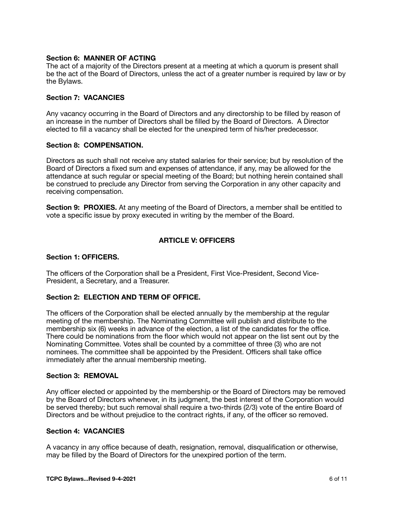## **Section 6: MANNER OF ACTING**

The act of a majority of the Directors present at a meeting at which a quorum is present shall be the act of the Board of Directors, unless the act of a greater number is required by law or by the Bylaws.

## **Section 7: VACANCIES**

Any vacancy occurring in the Board of Directors and any directorship to be filled by reason of an increase in the number of Directors shall be filled by the Board of Directors. A Director elected to fill a vacancy shall be elected for the unexpired term of his/her predecessor.

## **Section 8: COMPENSATION.**

Directors as such shall not receive any stated salaries for their service; but by resolution of the Board of Directors a fixed sum and expenses of attendance, if any, may be allowed for the attendance at such regular or special meeting of the Board; but nothing herein contained shall be construed to preclude any Director from serving the Corporation in any other capacity and receiving compensation.

**Section 9: PROXIES.** At any meeting of the Board of Directors, a member shall be entitled to vote a specific issue by proxy executed in writing by the member of the Board.

# **ARTICLE V: OFFICERS**

## **Section 1: OFFICERS.**

The officers of the Corporation shall be a President, First Vice-President, Second Vice-President, a Secretary, and a Treasurer.

# **Section 2: ELECTION AND TERM OF OFFICE.**

The officers of the Corporation shall be elected annually by the membership at the regular meeting of the membership. The Nominating Committee will publish and distribute to the membership six (6) weeks in advance of the election, a list of the candidates for the office. There could be nominations from the floor which would not appear on the list sent out by the Nominating Committee. Votes shall be counted by a committee of three (3) who are not nominees. The committee shall be appointed by the President. Officers shall take office immediately after the annual membership meeting.

### **Section 3: REMOVAL**

Any officer elected or appointed by the membership or the Board of Directors may be removed by the Board of Directors whenever, in its judgment, the best interest of the Corporation would be served thereby; but such removal shall require a two-thirds (2/3) vote of the entire Board of Directors and be without prejudice to the contract rights, if any, of the officer so removed.

### **Section 4: VACANCIES**

A vacancy in any office because of death, resignation, removal, disqualification or otherwise, may be filled by the Board of Directors for the unexpired portion of the term.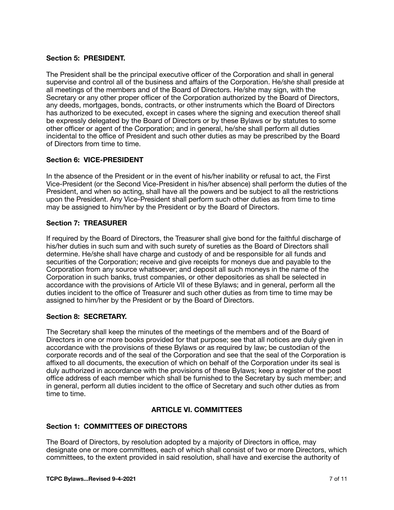## **Section 5: PRESIDENT.**

The President shall be the principal executive officer of the Corporation and shall in general supervise and control all of the business and affairs of the Corporation. He/she shall preside at all meetings of the members and of the Board of Directors. He/she may sign, with the Secretary or any other proper officer of the Corporation authorized by the Board of Directors, any deeds, mortgages, bonds, contracts, or other instruments which the Board of Directors has authorized to be executed, except in cases where the signing and execution thereof shall be expressly delegated by the Board of Directors or by these Bylaws or by statutes to some other officer or agent of the Corporation; and in general, he/she shall perform all duties incidental to the office of President and such other duties as may be prescribed by the Board of Directors from time to time.

## **Section 6: VICE-PRESIDENT**

In the absence of the President or in the event of his/her inability or refusal to act, the First Vice-President (or the Second Vice-President in his/her absence) shall perform the duties of the President, and when so acting, shall have all the powers and be subject to all the restrictions upon the President. Any Vice-President shall perform such other duties as from time to time may be assigned to him/her by the President or by the Board of Directors.

## **Section 7: TREASURER**

If required by the Board of Directors, the Treasurer shall give bond for the faithful discharge of his/her duties in such sum and with such surety of sureties as the Board of Directors shall determine. He/she shall have charge and custody of and be responsible for all funds and securities of the Corporation; receive and give receipts for moneys due and payable to the Corporation from any source whatsoever; and deposit all such moneys in the name of the Corporation in such banks, trust companies, or other depositories as shall be selected in accordance with the provisions of Article VII of these Bylaws; and in general, perform all the duties incident to the office of Treasurer and such other duties as from time to time may be assigned to him/her by the President or by the Board of Directors.

### **Section 8: SECRETARY.**

The Secretary shall keep the minutes of the meetings of the members and of the Board of Directors in one or more books provided for that purpose; see that all notices are duly given in accordance with the provisions of these Bylaws or as required by law; be custodian of the corporate records and of the seal of the Corporation and see that the seal of the Corporation is affixed to all documents, the execution of which on behalf of the Corporation under its seal is duly authorized in accordance with the provisions of these Bylaws; keep a register of the post office address of each member which shall be furnished to the Secretary by such member; and in general, perform all duties incident to the office of Secretary and such other duties as from time to time.

# **ARTICLE VI. COMMITTEES**

## **Section 1: COMMITTEES OF DIRECTORS**

The Board of Directors, by resolution adopted by a majority of Directors in office, may designate one or more committees, each of which shall consist of two or more Directors, which committees, to the extent provided in said resolution, shall have and exercise the authority of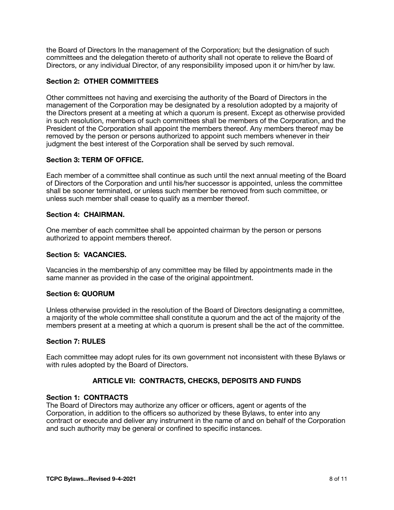the Board of Directors In the management of the Corporation; but the designation of such committees and the delegation thereto of authority shall not operate to relieve the Board of Directors, or any individual Director, of any responsibility imposed upon it or him/her by law.

# **Section 2: OTHER COMMITTEES**

Other committees not having and exercising the authority of the Board of Directors in the management of the Corporation may be designated by a resolution adopted by a majority of the Directors present at a meeting at which a quorum is present. Except as otherwise provided in such resolution, members of such committees shall be members of the Corporation, and the President of the Corporation shall appoint the members thereof. Any members thereof may be removed by the person or persons authorized to appoint such members whenever in their judgment the best interest of the Corporation shall be served by such removal.

### **Section 3: TERM OF OFFICE.**

Each member of a committee shall continue as such until the next annual meeting of the Board of Directors of the Corporation and until his/her successor is appointed, unless the committee shall be sooner terminated, or unless such member be removed from such committee, or unless such member shall cease to qualify as a member thereof.

### **Section 4: CHAIRMAN.**

One member of each committee shall be appointed chairman by the person or persons authorized to appoint members thereof.

## **Section 5: VACANCIES.**

Vacancies in the membership of any committee may be filled by appointments made in the same manner as provided in the case of the original appointment.

## **Section 6: QUORUM**

Unless otherwise provided in the resolution of the Board of Directors designating a committee, a majority of the whole committee shall constitute a quorum and the act of the majority of the members present at a meeting at which a quorum is present shall be the act of the committee.

### **Section 7: RULES**

Each committee may adopt rules for its own government not inconsistent with these Bylaws or with rules adopted by the Board of Directors.

# **ARTICLE VII: CONTRACTS, CHECKS, DEPOSITS AND FUNDS**

## **Section 1: CONTRACTS**

The Board of Directors may authorize any officer or officers, agent or agents of the Corporation, in addition to the officers so authorized by these Bylaws, to enter into any contract or execute and deliver any instrument in the name of and on behalf of the Corporation and such authority may be general or confined to specific instances.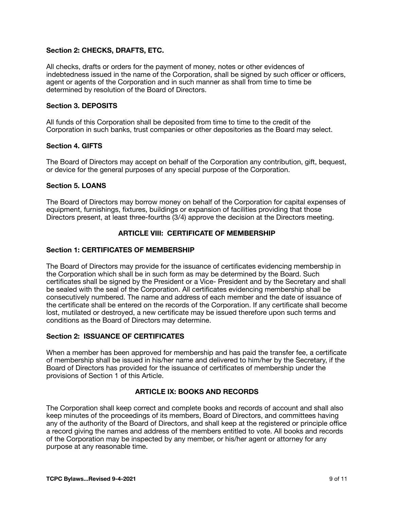## **Section 2: CHECKS, DRAFTS, ETC.**

All checks, drafts or orders for the payment of money, notes or other evidences of indebtedness issued in the name of the Corporation, shall be signed by such officer or officers, agent or agents of the Corporation and in such manner as shall from time to time be determined by resolution of the Board of Directors.

## **Section 3. DEPOSITS**

All funds of this Corporation shall be deposited from time to time to the credit of the Corporation in such banks, trust companies or other depositories as the Board may select.

### **Section 4. GIFTS**

The Board of Directors may accept on behalf of the Corporation any contribution, gift, bequest, or device for the general purposes of any special purpose of the Corporation.

## **Section 5. LOANS**

The Board of Directors may borrow money on behalf of the Corporation for capital expenses of equipment, furnishings, fixtures, buildings or expansion of facilities providing that those Directors present, at least three-fourths (3/4) approve the decision at the Directors meeting.

## **ARTICLE VIII: CERTIFICATE OF MEMBERSHIP**

### **Section 1: CERTIFICATES OF MEMBERSHIP**

The Board of Directors may provide for the issuance of certificates evidencing membership in the Corporation which shall be in such form as may be determined by the Board. Such certificates shall be signed by the President or a Vice- President and by the Secretary and shall be sealed with the seal of the Corporation. All certificates evidencing membership shall be consecutively numbered. The name and address of each member and the date of issuance of the certificate shall be entered on the records of the Corporation. If any certificate shall become lost, mutilated or destroyed, a new certificate may be issued therefore upon such terms and conditions as the Board of Directors may determine.

## **Section 2: ISSUANCE OF CERTIFICATES**

When a member has been approved for membership and has paid the transfer fee, a certificate of membership shall be issued in his/her name and delivered to him/her by the Secretary, if the Board of Directors has provided for the issuance of certificates of membership under the provisions of Section 1 of this Article.

# **ARTICLE IX: BOOKS AND RECORDS**

The Corporation shall keep correct and complete books and records of account and shall also keep minutes of the proceedings of its members, Board of Directors, and committees having any of the authority of the Board of Directors, and shall keep at the registered or principle office a record giving the names and address of the members entitled to vote. All books and records of the Corporation may be inspected by any member, or his/her agent or attorney for any purpose at any reasonable time.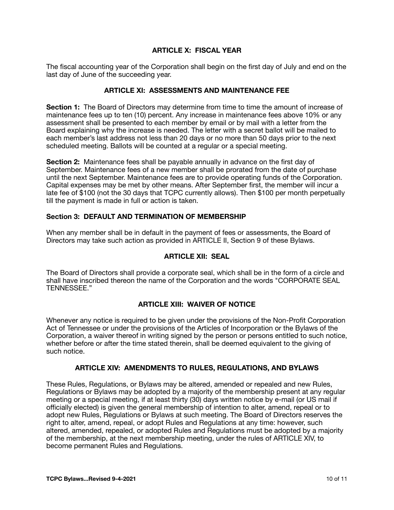## **ARTICLE X: FISCAL YEAR**

The fiscal accounting year of the Corporation shall begin on the first day of July and end on the last day of June of the succeeding year.

## **ARTICLE XI: ASSESSMENTS AND MAINTENANCE FEE**

**Section 1:** The Board of Directors may determine from time to time the amount of increase of maintenance fees up to ten (10) percent. Any increase in maintenance fees above 10% or any assessment shall be presented to each member by email or by mail with a letter from the Board explaining why the increase is needed. The letter with a secret ballot will be mailed to each member's last address not less than 20 days or no more than 50 days prior to the next scheduled meeting. Ballots will be counted at a regular or a special meeting.

**Section 2:** Maintenance fees shall be payable annually in advance on the first day of September. Maintenance fees of a new member shall be prorated from the date of purchase until the next September. Maintenance fees are to provide operating funds of the Corporation. Capital expenses may be met by other means. After September first, the member will incur a late fee of \$100 (not the 30 days that TCPC currently allows). Then \$100 per month perpetually till the payment is made in full or action is taken.

### **Section 3: DEFAULT AND TERMINATION OF MEMBERSHIP**

When any member shall be in default in the payment of fees or assessments, the Board of Directors may take such action as provided in ARTICLE II, Section 9 of these Bylaws.

## **ARTICLE XII: SEAL**

The Board of Directors shall provide a corporate seal, which shall be in the form of a circle and shall have inscribed thereon the name of the Corporation and the words "CORPORATE SEAL TENNESSEE."

# **ARTICLE XIII: WAIVER OF NOTICE**

Whenever any notice is required to be given under the provisions of the Non-Profit Corporation Act of Tennessee or under the provisions of the Articles of Incorporation or the Bylaws of the Corporation, a waiver thereof in writing signed by the person or persons entitled to such notice, whether before or after the time stated therein, shall be deemed equivalent to the giving of such notice.

### **ARTICLE XIV: AMENDMENTS TO RULES, REGULATIONS, AND BYLAWS**

These Rules, Regulations, or Bylaws may be altered, amended or repealed and new Rules, Regulations or Bylaws may be adopted by a majority of the membership present at any regular meeting or a special meeting, if at least thirty (30) days written notice by e-mail (or US mail if officially elected) is given the general membership of intention to alter, amend, repeal or to adopt new Rules, Regulations or Bylaws at such meeting. The Board of Directors reserves the right to alter, amend, repeal, or adopt Rules and Regulations at any time: however, such altered, amended, repealed, or adopted Rules and Regulations must be adopted by a majority of the membership, at the next membership meeting, under the rules of ARTICLE XIV, to become permanent Rules and Regulations.